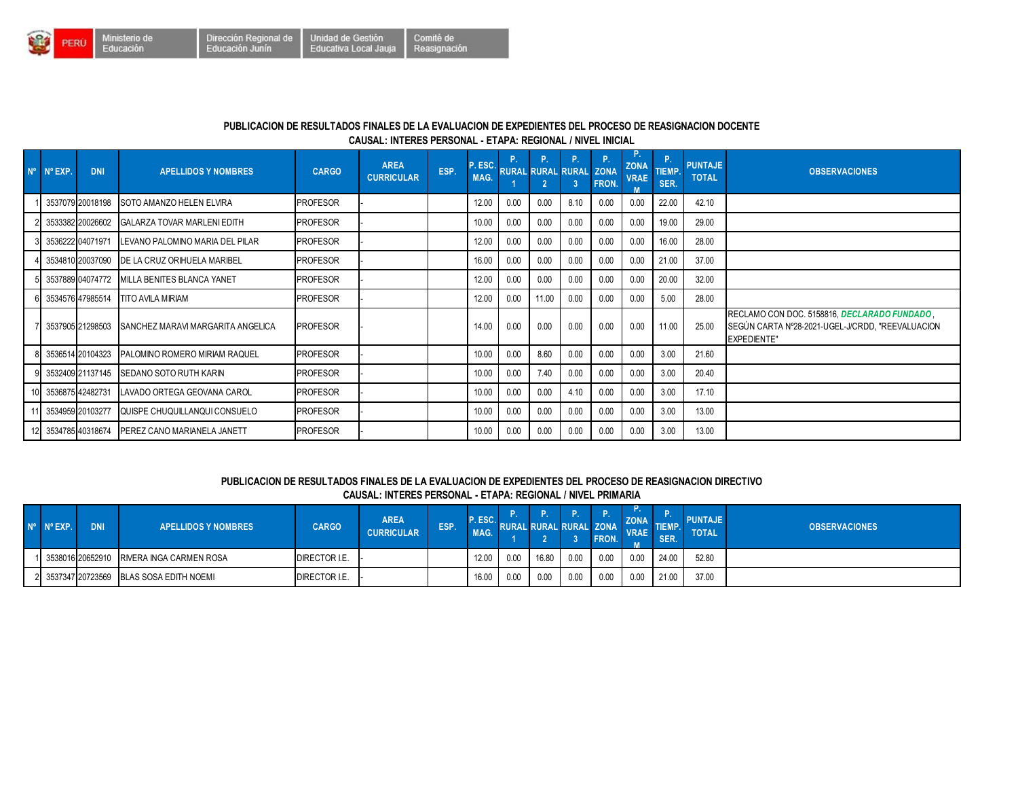

# Reasignación

#### **PUBLICACION DE RESULTADOS FINALES DE LA EVALUACION DE EXPEDIENTES DEL PROCESO DE REASIGNACION DOCENTE CAUSAL: INTERES PERSONAL - ETAPA: REGIONAL / NIVEL INICIAL**

| $N^{\circ}$ | $N^{\circ}$ EXP.    | <b>DNI</b>         | <b>APELLIDOS Y NOMBRES</b>         | <b>CARGO</b>    | <b>AREA</b><br><b>CURRICULAR</b> | ESP. | P. ESC.<br>MAG. | P.   | ΤP.   | <b>P.</b><br><b>RURAL RURAL RURAL</b> | Р.<br><b>ZONA</b><br>FRON. | <b>ZONA</b><br><b>VRAE</b> | P.<br>TIEMP.<br>SER. | <b>PUNTAJE</b><br><b>TOTAL</b> | <b>OBSERVACIONES</b>                                                                                                  |
|-------------|---------------------|--------------------|------------------------------------|-----------------|----------------------------------|------|-----------------|------|-------|---------------------------------------|----------------------------|----------------------------|----------------------|--------------------------------|-----------------------------------------------------------------------------------------------------------------------|
|             |                     | 3537079 20018198   | SOTO AMANZO HELEN ELVIRA           | <b>PROFESOR</b> |                                  |      | 12.00           | 0.00 | 0.00  | 8.10                                  | 0.00                       | 0.00                       | 22.00                | 42.10                          |                                                                                                                       |
|             |                     | 3533382 20026602   | <b>GALARZA TOVAR MARLENI EDITH</b> | <b>PROFESOR</b> |                                  |      | 10.00           | 0.00 | 0.00  | 0.00                                  | 0.00                       | 0.00                       | 19.00                | 29.00                          |                                                                                                                       |
|             | 3536222 04071971    |                    | LEVANO PALOMINO MARIA DEL PILAR    | <b>PROFESOR</b> |                                  |      | 12.00           | 0.00 | 0.00  | 0.00                                  | 0.00                       | 0.00                       | 16.00                | 28.00                          |                                                                                                                       |
|             |                     | 3534810 20037090   | DE LA CRUZ ORIHUELA MARIBEL        | <b>PROFESOR</b> |                                  |      | 16.00           | 0.00 | 0.00  | 0.00                                  | 0.00                       | 0.00                       | 21.00                | 37.00                          |                                                                                                                       |
|             |                     | 3537889 04074772   | MILLA BENITES BLANCA YANET         | <b>PROFESOR</b> |                                  |      | 12.00           | 0.00 | 0.00  | 0.00                                  | 0.00                       | 0.00                       | 20.00                | 32.00                          |                                                                                                                       |
|             |                     | 3534576 47985514   | <b>TITO AVILA MIRIAM</b>           | <b>PROFESOR</b> |                                  |      | 12.00           | 0.00 | 11.00 | 0.00                                  | 0.00                       | 0.00                       | 5.00                 | 28.00                          |                                                                                                                       |
|             |                     | 3537905 21298503   | ISANCHEZ MARAVI MARGARITA ANGELICA | <b>PROFESOR</b> |                                  |      | 14.00           | 0.00 | 0.00  | 0.00                                  | 0.00                       | 0.00                       | 11.00                | 25.00                          | RECLAMO CON DOC. 5158816, DECLARADO FUNDADO<br>SEGÚN CARTA Nº28-2021-UGEL-J/CRDD, "REEVALUACION<br><b>EXPEDIENTE"</b> |
|             |                     | 3536514 20104323   | PALOMINO ROMERO MIRIAM RAQUEL      | <b>PROFESOR</b> |                                  |      | 10.00           | 0.00 | 8.60  | 0.00                                  | 0.00                       | 0.00                       | 3.00                 | 21.60                          |                                                                                                                       |
|             |                     | 9 3532409 21137145 | <b>ISEDANO SOTO RUTH KARIN</b>     | <b>PROFESOR</b> |                                  |      | 10.00           | 0.00 | 7.40  | 0.00                                  | 0.00                       | 0.00                       | 3.00                 | 20.40                          |                                                                                                                       |
|             | 10 3536875 42482731 |                    | LAVADO ORTEGA GEOVANA CAROL        | <b>PROFESOR</b> |                                  |      | 10.00           | 0.00 | 0.00  | 4.10                                  | 0.00                       | 0.00                       | 3.00                 | 17.10                          |                                                                                                                       |
|             | 11 3534959 20103277 |                    | QUISPE CHUQUILLANQUI CONSUELO      | <b>PROFESOR</b> |                                  |      | 10.00           | 0.00 | 0.00  | 0.00                                  | 0.00                       | 0.00                       | 3.00                 | 13.00                          |                                                                                                                       |
|             | 12 3534785 40318674 |                    | PEREZ CANO MARIANELA JANETT        | <b>PROFESOR</b> |                                  |      | 10.00           | 0.00 | 0.00  | 0.00                                  | 0.00                       | 0.00                       | 3.00                 | 13.00                          |                                                                                                                       |

# **PUBLICACION DE RESULTADOS FINALES DE LA EVALUACION DE EXPEDIENTES DEL PROCESO DE REASIGNACION DIRECTIVO CAUSAL: INTERES PERSONAL - ETAPA: REGIONAL / NIVEL PRIMARIA**

| $N^{\circ}$ $N^{\circ}$ EXP. | <b>DNI</b>       | <b>APELLIDOS Y NOMBRES</b> | <b>CARGO</b>  | <b>AREA</b><br><b>CURRICULAR</b> | ESP. | P. ESC.<br><b>MAG.</b> |      |       |      | <b>EXAMPLE AND STREET STATES AND STREET AND STREET STATES AND INCOME.</b><br>RURAL RURAL RURAL ZONA<br><b>FRON.</b> | <b>VRAE</b> | SER.  | <b>PUNTAJE</b><br><b>NTOTAL</b> | <b>OBSERVACIONES</b> |
|------------------------------|------------------|----------------------------|---------------|----------------------------------|------|------------------------|------|-------|------|---------------------------------------------------------------------------------------------------------------------|-------------|-------|---------------------------------|----------------------|
|                              | 3538016 20652910 | RIVERA INGA CARMEN ROSA    | DIRECTOR I.E. |                                  |      | 12.00                  | 0.00 | 16.80 | 0.00 | 0.00                                                                                                                | 0.00        | 24.00 | 52.80                           |                      |
|                              | 3537347 20723569 | J BLAS SOSA EDITH NOEMI    | DIRECTOR I.E. |                                  |      | 16.00                  | 0.00 | 0.00  | 0.00 | 0.00                                                                                                                | 0.00        | 21.00 | 37.00                           |                      |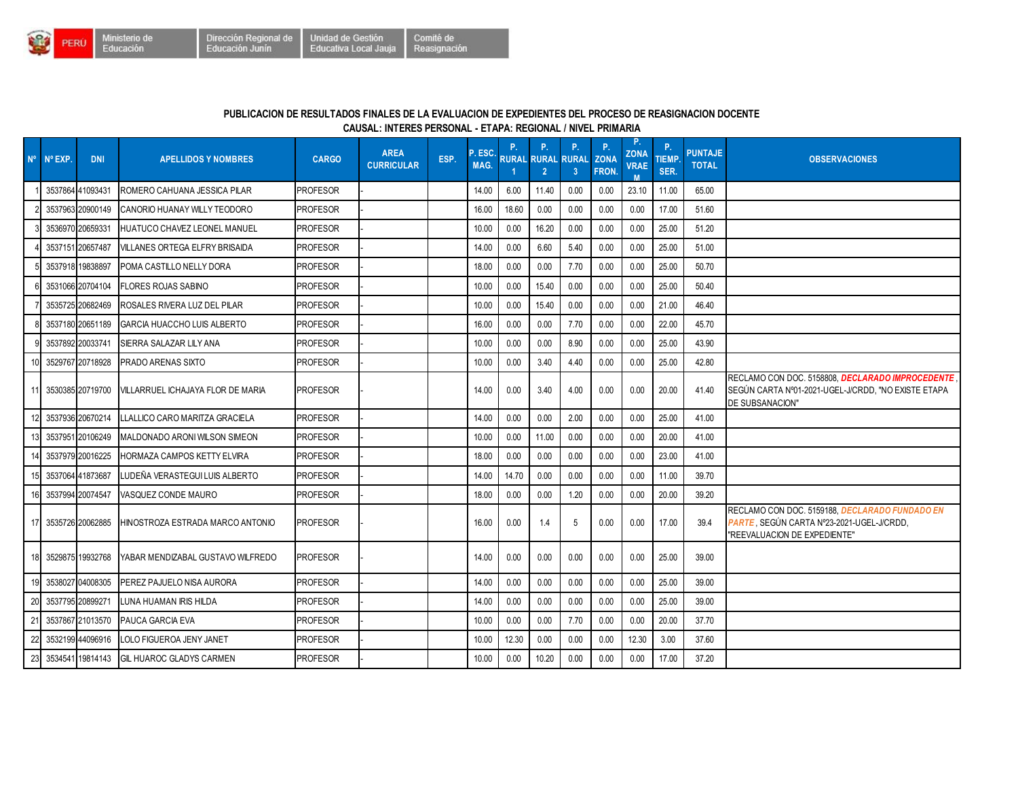

# **PUBLICACION DE RESULTADOS FINALES DE LA EVALUACION DE EXPEDIENTES DEL PROCESO DE REASIGNACION DOCENTE CAUSAL: INTERES PERSONAL - ETAPA: REGIONAL / NIVEL PRIMARIA**

| N°  | N° EXP. | <b>DNI</b>       | <b>APELLIDOS Y NOMBRES</b>         | <b>CARGO</b>    | <b>AREA</b><br><b>CURRICULAR</b> | ESP. | P. ESC.<br>MAG. | <b>P.</b> | P.<br><b>RURAL RURAL RURAL</b><br>$\overline{2}$ | Р.<br>-3 | P.<br><b>ZONA</b><br>FRON. | к.<br><b>ZONA</b><br><b>VRAE</b> | P.<br><b>TIEMP</b><br>SER. | <b>PUNTAJE</b><br><b>TOTAL</b> | <b>OBSERVACIONES</b>                                                                                                        |
|-----|---------|------------------|------------------------------------|-----------------|----------------------------------|------|-----------------|-----------|--------------------------------------------------|----------|----------------------------|----------------------------------|----------------------------|--------------------------------|-----------------------------------------------------------------------------------------------------------------------------|
|     |         | 3537864 41093431 | ROMERO CAHUANA JESSICA PILAR       | <b>PROFESOR</b> |                                  |      | 14.00           | 6.00      | 11.40                                            | 0.00     | 0.00                       | 23.10                            | 11.00                      | 65.00                          |                                                                                                                             |
|     |         | 3537963 20900149 | CANORIO HUANAY WILLY TEODORO       | <b>PROFESOR</b> |                                  |      | 16.00           | 18.60     | 0.00                                             | 0.00     | 0.00                       | 0.00                             | 17.00                      | 51.60                          |                                                                                                                             |
|     |         | 3536970 20659331 | HUATUCO CHAVEZ LEONEL MANUEL       | <b>PROFESOR</b> |                                  |      | 10.00           | 0.00      | 16.20                                            | 0.00     | 0.00                       | 0.00                             | 25.00                      | 51.20                          |                                                                                                                             |
|     | 3537151 | 20657487         | VILLANES ORTEGA ELFRY BRISAIDA     | <b>PROFESOR</b> |                                  |      | 14.00           | 0.00      | 6.60                                             | 5.40     | 0.00                       | 0.00                             | 25.00                      | 51.00                          |                                                                                                                             |
|     |         | 3537918 19838897 | POMA CASTILLO NELLY DORA           | <b>PROFESOR</b> |                                  |      | 18.00           | 0.00      | 0.00                                             | 7.70     | 0.00                       | 0.00                             | 25.00                      | 50.70                          |                                                                                                                             |
|     |         | 3531066 20704104 | <b>FLORES ROJAS SABINO</b>         | <b>PROFESOR</b> |                                  |      | 10.00           | 0.00      | 15.40                                            | 0.00     | 0.00                       | 0.00                             | 25.00                      | 50.40                          |                                                                                                                             |
|     |         | 3535725 20682469 | ROSALES RIVERA LUZ DEL PILAR       | <b>PROFESOR</b> |                                  |      | 10.00           | 0.00      | 15.40                                            | 0.00     | 0.00                       | 0.00                             | 21.00                      | 46.40                          |                                                                                                                             |
|     |         | 3537180 20651189 | <b>GARCIA HUACCHO LUIS ALBERTO</b> | <b>PROFESOR</b> |                                  |      | 16.00           | 0.00      | 0.00                                             | 7.70     | 0.00                       | 0.00                             | 22.00                      | 45.70                          |                                                                                                                             |
|     |         | 3537892 20033741 | SIERRA SALAZAR LILY ANA            | <b>PROFESOR</b> |                                  |      | 10.00           | 0.00      | 0.00                                             | 8.90     | 0.00                       | 0.00                             | 25.00                      | 43.90                          |                                                                                                                             |
|     |         | 3529767 20718928 | PRADO ARENAS SIXTO                 | <b>PROFESOR</b> |                                  |      | 10.00           | 0.00      | 3.40                                             | 4.40     | 0.00                       | 0.00                             | 25.00                      | 42.80                          |                                                                                                                             |
| 11  |         | 3530385 20719700 | VILLARRUEL ICHAJAYA FLOR DE MARIA  | <b>PROFESOR</b> |                                  |      | 14.00           | 0.00      | 3.40                                             | 4.00     | 0.00                       | 0.00                             | 20.00                      | 41.40                          | RECLAMO CON DOC. 5158808, DECLARADO IMPROCEDENTE,<br>SEGÚN CARTA Nº01-2021-UGEL-J/CRDD, "NO EXISTE ETAPA<br>DE SUBSANACION" |
|     |         | 3537936 20670214 | LLALLICO CARO MARITZA GRACIELA     | <b>PROFESOR</b> |                                  |      | 14.00           | 0.00      | 0.00                                             | 2.00     | 0.00                       | 0.00                             | 25.00                      | 41.00                          |                                                                                                                             |
|     |         | 3537951 20106249 | MALDONADO ARONI WILSON SIMEON      | <b>PROFESOR</b> |                                  |      | 10.00           | 0.00      | 11.00                                            | 0.00     | 0.00                       | 0.00                             | 20.00                      | 41.00                          |                                                                                                                             |
|     |         | 3537979 20016225 | HORMAZA CAMPOS KETTY ELVIRA        | <b>PROFESOR</b> |                                  |      | 18.00           | 0.00      | 0.00                                             | 0.00     | 0.00                       | 0.00                             | 23.00                      | 41.00                          |                                                                                                                             |
|     |         | 3537064 41873687 | LUDEÑA VERASTEGUI LUIS ALBERTO     | <b>PROFESOR</b> |                                  |      | 14.00           | 14.70     | 0.00                                             | 0.00     | 0.00                       | 0.00                             | 11.00                      | 39.70                          |                                                                                                                             |
|     |         | 3537994 20074547 | VASQUEZ CONDE MAURO                | <b>PROFESOR</b> |                                  |      | 18.00           | 0.00      | 0.00                                             | 1.20     | 0.00                       | 0.00                             | 20.00                      | 39.20                          |                                                                                                                             |
| 17  |         | 3535726 20062885 | HINOSTROZA ESTRADA MARCO ANTONIO   | <b>PROFESOR</b> |                                  |      | 16.00           | 0.00      | 1.4                                              | 5        | 0.00                       | 0.00                             | 17.00                      | 39.4                           | RECLAMO CON DOC. 5159188, DECLARADO FUNDADO EN<br>PARTE, SEGÚN CARTA Nº23-2021-UGEL-J/CRDD,<br>"REEVALUACION DE EXPEDIENTE" |
| -18 |         | 3529875 19932768 | YABAR MENDIZABAL GUSTAVO WILFREDO  | <b>PROFESOR</b> |                                  |      | 14.00           | 0.00      | 0.00                                             | 0.00     | 0.00                       | 0.00                             | 25.00                      | 39.00                          |                                                                                                                             |
|     | 3538027 | 04008305         | PEREZ PAJUELO NISA AURORA          | <b>PROFESOR</b> |                                  |      | 14.00           | 0.00      | 0.00                                             | 0.00     | 0.00                       | 0.00                             | 25.00                      | 39.00                          |                                                                                                                             |
| 20  |         | 3537795 20899271 | LUNA HUAMAN IRIS HILDA             | <b>PROFESOR</b> |                                  |      | 14.00           | 0.00      | 0.00                                             | 0.00     | 0.00                       | 0.00                             | 25.00                      | 39.00                          |                                                                                                                             |
| 21  |         | 3537867 21013570 | PAUCA GARCIA EVA                   | <b>PROFESOR</b> |                                  |      | 10.00           | 0.00      | 0.00                                             | 7.70     | 0.00                       | 0.00                             | 20.00                      | 37.70                          |                                                                                                                             |
| 22  |         | 3532199 44096916 | LOLO FIGUEROA JENY JANET           | <b>PROFESOR</b> |                                  |      | 10.00           | 12.30     | 0.00                                             | 0.00     | 0.00                       | 12.30                            | 3.00                       | 37.60                          |                                                                                                                             |
| 23  |         | 3534541 19814143 | GIL HUAROC GLADYS CARMEN           | <b>PROFESOR</b> |                                  |      | 10.00           | 0.00      | 10.20                                            | 0.00     | 0.00                       | 0.00                             | 17.00                      | 37.20                          |                                                                                                                             |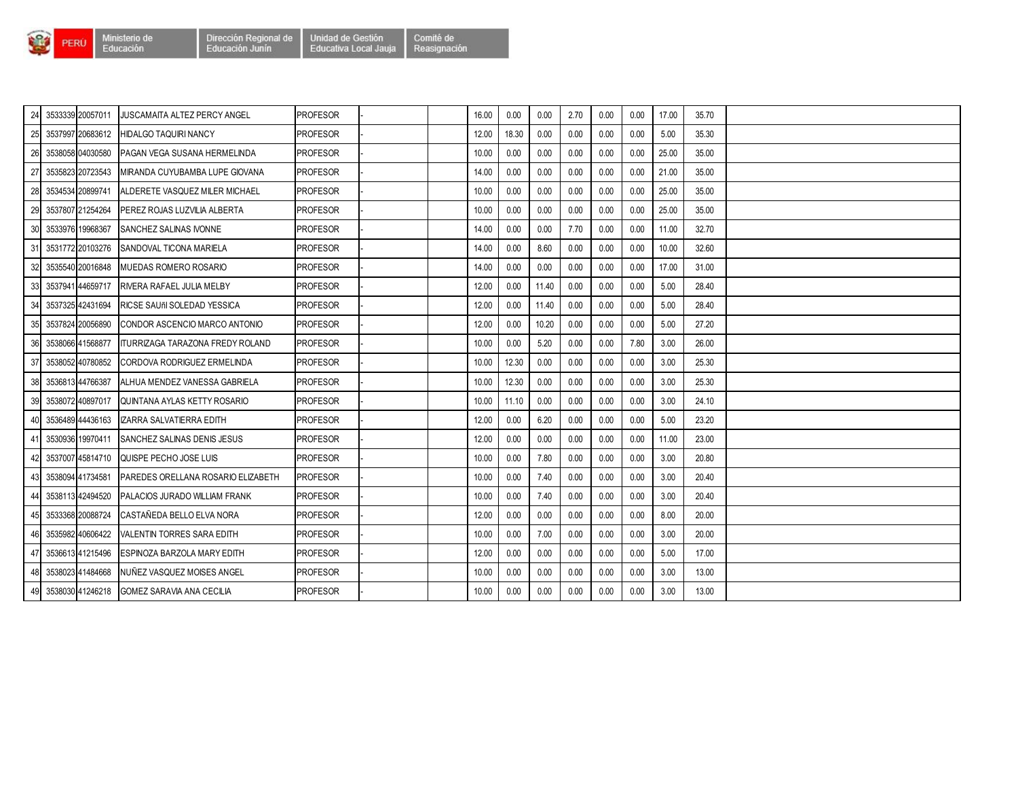

47

48

3536613 41215496

3538030 41246218

41484668

3538023

ESPINOZA BARZOLA MARY EDITH

NUÑEZ VASQUEZ MOISES ANGEL

GOMEZ SARAVIA ANA CECILIA

**PROFESOR** 

PROFESOR

PROFESOR

Unidad de Gestión<br>Educativa Local Jauja

Comité de

Reasignación

|    | 3533339 20057011 | <b>JUSCAMAITA ALTEZ PERCY ANGEL</b>            | <b>PROFESOR</b> |  | 16.00 | 0.00  | 0.00  | 2.70 | 0.00 | 0.00 | 17.00 | 35.70 |  |
|----|------------------|------------------------------------------------|-----------------|--|-------|-------|-------|------|------|------|-------|-------|--|
|    | 3537997 20683612 | <b>HIDALGO TAQUIRI NANCY</b>                   | <b>PROFESOR</b> |  | 12.00 | 18.30 | 0.00  | 0.00 | 0.00 | 0.00 | 5.00  | 35.30 |  |
|    | 3538058 04030580 | PAGAN VEGA SUSANA HERMELINDA                   | <b>PROFESOR</b> |  | 10.00 | 0.00  | 0.00  | 0.00 | 0.00 | 0.00 | 25.00 | 35.00 |  |
| 27 | 3535823 20723543 | MIRANDA CUYUBAMBA LUPE GIOVANA                 | <b>PROFESOR</b> |  | 14.00 | 0.00  | 0.00  | 0.00 | 0.00 | 0.00 | 21.00 | 35.00 |  |
|    | 3534534 20899741 | ALDERETE VASQUEZ MILER MICHAEL                 | <b>PROFESOR</b> |  | 10.00 | 0.00  | 0.00  | 0.00 | 0.00 | 0.00 | 25.00 | 35.00 |  |
| 29 | 3537807 21254264 | PEREZ ROJAS LUZVILIA ALBERTA                   | <b>PROFESOR</b> |  | 10.00 | 0.00  | 0.00  | 0.00 | 0.00 | 0.00 | 25.00 | 35.00 |  |
| 30 | 3533976 19968367 | <b>SANCHEZ SALINAS IVONNE</b>                  | <b>PROFESOR</b> |  | 14.00 | 0.00  | 0.00  | 7.70 | 0.00 | 0.00 | 11.00 | 32.70 |  |
|    | 3531772 20103276 | SANDOVAL TICONA MARIELA                        | <b>PROFESOR</b> |  | 14.00 | 0.00  | 8.60  | 0.00 | 0.00 | 0.00 | 10.00 | 32.60 |  |
| 32 | 3535540 20016848 | <b>MUEDAS ROMERO ROSARIO</b>                   | <b>PROFESOR</b> |  | 14.00 | 0.00  | 0.00  | 0.00 | 0.00 | 0.00 | 17.00 | 31.00 |  |
| 33 | 3537941 44659717 | <b>RIVERA RAFAEL JULIA MELBY</b>               | <b>PROFESOR</b> |  | 12.00 | 0.00  | 11.40 | 0.00 | 0.00 | 0.00 | 5.00  | 28.40 |  |
|    | 3537325 42431694 | RICSE SAUñI SOLEDAD YESSICA                    | <b>PROFESOR</b> |  | 12.00 | 0.00  | 11.40 | 0.00 | 0.00 | 0.00 | 5.00  | 28.40 |  |
|    | 3537824 20056890 | CONDOR ASCENCIO MARCO ANTONIO                  | <b>PROFESOR</b> |  | 12.00 | 0.00  | 10.20 | 0.00 | 0.00 | 0.00 | 5.00  | 27.20 |  |
|    | 3538066 41568877 | <b>ITURRIZAGA TARAZONA FREDY ROLAND</b>        | <b>PROFESOR</b> |  | 10.00 | 0.00  | 5.20  | 0.00 | 0.00 | 7.80 | 3.00  | 26.00 |  |
| 37 | 3538052 40780852 | CORDOVA RODRIGUEZ ERMELINDA                    | <b>PROFESOR</b> |  | 10.00 | 12.30 | 0.00  | 0.00 | 0.00 | 0.00 | 3.00  | 25.30 |  |
| 38 | 3536813 44766387 | ALHUA MENDEZ VANESSA GABRIELA                  | <b>PROFESOR</b> |  | 10.00 | 12.30 | 0.00  | 0.00 | 0.00 | 0.00 | 3.00  | 25.30 |  |
|    | 3538072 40897017 | QUINTANA AYLAS KETTY ROSARIO                   | <b>PROFESOR</b> |  | 10.00 | 11.10 | 0.00  | 0.00 | 0.00 | 0.00 | 3.00  | 24.10 |  |
|    | 3536489 44436163 | <b>IZARRA SALVATIERRA EDITH</b>                | <b>PROFESOR</b> |  | 12.00 | 0.00  | 6.20  | 0.00 | 0.00 | 0.00 | 5.00  | 23.20 |  |
|    | 3530936 19970411 | SANCHEZ SALINAS DENIS JESUS                    | <b>PROFESOR</b> |  | 12.00 | 0.00  | 0.00  | 0.00 | 0.00 | 0.00 | 11.00 | 23.00 |  |
|    | 3537007 45814710 | QUISPE PECHO JOSE LUIS                         | <b>PROFESOR</b> |  | 10.00 | 0.00  | 7.80  | 0.00 | 0.00 | 0.00 | 3.00  | 20.80 |  |
|    | 3538094 41734581 | PAREDES ORELLANA ROSARIO ELIZABETH             | <b>PROFESOR</b> |  | 10.00 | 0.00  | 7.40  | 0.00 | 0.00 | 0.00 | 3.00  | 20.40 |  |
|    | 3538113 42494520 | PALACIOS JURADO WILLIAM FRANK                  | <b>PROFESOR</b> |  | 10.00 | 0.00  | 7.40  | 0.00 | 0.00 | 0.00 | 3.00  | 20.40 |  |
|    | 3533368 20088724 | CASTAÑEDA BELLO ELVA NORA                      | <b>PROFESOR</b> |  | 12.00 | 0.00  | 0.00  | 0.00 | 0.00 | 0.00 | 8.00  | 20.00 |  |
|    |                  | 46 3535982 40606422 VALENTIN TORRES SARA EDITH | <b>PROFESOR</b> |  | 10.00 | 0.00  | 7.00  | 0.00 | 0.00 | 0.00 | 3.00  | 20.00 |  |

12.00

10.00

10.00

 $0.00$ 

 $0.00$ 

 $0.00$ 

 $0.00$ 

 $0.00\,$ 

 $0.00\,$ 

 $0.00$ 

 $0.00\,$ 

 $0.00$ 

 $0.00$ 

 $0.00$ 

 $0.00$ 

 $0.00$ 

 $0.00$ 

 $0.00$ 

5.00

 $3.00$ 

3.00

17.00

13.00

13.00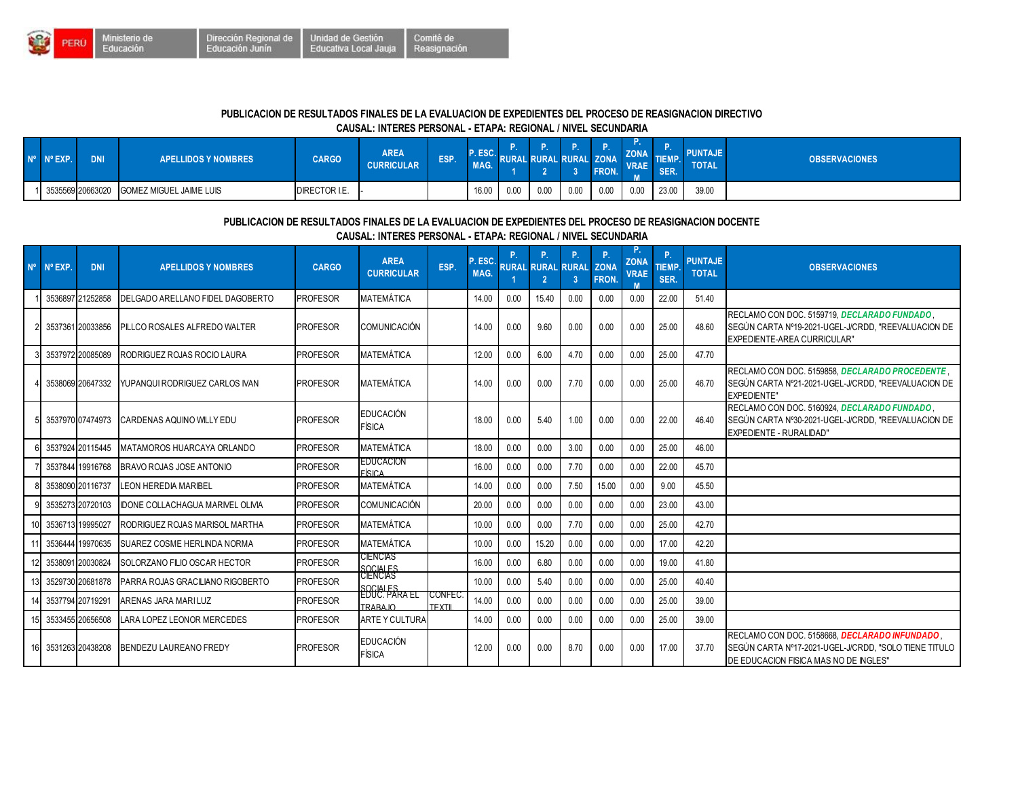

# **PUBLICACION DE RESULTADOS FINALES DE LA EVALUACION DE EXPEDIENTES DEL PROCESO DE REASIGNACION DIRECTIVO CAUSAL: INTERES PERSONAL - ETAPA: REGIONAL / NIVEL SECUNDARIA**

Comité de

Reasignación

| $N^{\circ}$ | N° EXP. | <b>DNI</b>       | <b>APELLIDOS Y NOMBRES</b>     | CARGO         | <b>AREA</b><br><b>CURRICULAR</b> | ESP. | P. ESC.<br>MAG. |      |      | <b>RURAL RURAL ZONA</b> | <b>FRON.</b> | <b>ZONA</b><br><b>VRAE</b> | <b>TIEMP</b><br>SER. | <b>PUNTAJE</b><br><b>TOTAL</b> | <b>OBSERVACIONES</b> |
|-------------|---------|------------------|--------------------------------|---------------|----------------------------------|------|-----------------|------|------|-------------------------|--------------|----------------------------|----------------------|--------------------------------|----------------------|
|             |         | 3535569 20663020 | <b>GOMEZ MIGUEL JAIME LUIS</b> | DIRECTOR I.E. |                                  |      | 16.00           | 0.00 | 0.00 | 0.00                    | 0.00         | 0.00                       | 23.00                | 39.00                          |                      |

#### **PUBLICACION DE RESULTADOS FINALES DE LA EVALUACION DE EXPEDIENTES DEL PROCESO DE REASIGNACION DOCENTE**

**CAUSAL: INTERES PERSONAL - ETAPA: REGIONAL / NIVEL SECUNDARIA** 

| $N^{\circ}$ | N° EXP  | <b>DNI</b>       | <b>APELLIDOS Y NOMBRES</b>              | <b>CARGO</b>    | <b>AREA</b><br><b>CURRICULAR</b>  | ESP.                     | P. ESC.<br>MAG. | <b>P.</b><br><b>RURAL</b> | Р.<br><b>RURAL RURAL</b> | Р.   | Р.<br><b>ZONA</b><br><b>FRON</b> | <b>ZONA</b><br><b>VRAE</b> | <b>P.</b><br><b>TIEMP</b><br>SER. | <b>PUNTAJE</b><br><b>TOTAL</b> | <b>OBSERVACIONES</b>                                                                                                                             |
|-------------|---------|------------------|-----------------------------------------|-----------------|-----------------------------------|--------------------------|-----------------|---------------------------|--------------------------|------|----------------------------------|----------------------------|-----------------------------------|--------------------------------|--------------------------------------------------------------------------------------------------------------------------------------------------|
|             |         | 3536897 21252858 | DELGADO ARELLANO FIDEL DAGOBERTO        | <b>PROFESOR</b> | <b>MATEMÁTICA</b>                 |                          | 14.00           | 0.00                      | 15.40                    | 0.00 | 0.00                             | 0.00                       | 22.00                             | 51.40                          |                                                                                                                                                  |
|             |         | 3537361 20033856 | PILLCO ROSALES ALFREDO WALTER           | <b>PROFESOR</b> | COMUNICACIÓN                      |                          | 14.00           | 0.00                      | 9.60                     | 0.00 | 0.00                             | 0.00                       | 25.00                             | 48.60                          | RECLAMO CON DOC. 5159719, DECLARADO FUNDADO,<br>SEGÚN CARTA Nº19-2021-UGEL-J/CRDD. "REEVALUACION DE<br><b>EXPEDIENTE-AREA CURRICULAR"</b>        |
|             |         | 3537972 20085089 | RODRIGUEZ ROJAS ROCIO LAURA             | <b>PROFESOR</b> | <b>MATEMÁTICA</b>                 |                          | 12.00           | 0.00                      | 6.00                     | 4.70 | 0.00                             | 0.00                       | 25.00                             | 47.70                          |                                                                                                                                                  |
|             |         | 3538069 20647332 | YUPANOUI RODRIGUEZ CARLOS IVAN          | <b>PROFESOR</b> | <b>MATEMÁTICA</b>                 |                          | 14.00           | 0.00                      | 0.00                     | 7.70 | 0.00                             | 0.00                       | 25.00                             | 46.70                          | RECLAMO CON DOC. 5159858, DECLARADO PROCEDENTE,<br>SEGÚN CARTA Nº21-2021-UGEL-J/CRDD, "REEVALUACION DE<br><b>EXPEDIENTE'</b>                     |
|             |         | 3537970 07474973 | <b>CARDENAS AQUINO WILLY EDU</b>        | <b>PROFESOR</b> | <b>EDUCACIÓN</b><br><b>FÍSICA</b> |                          | 18.00           | 0.00                      | 5.40                     | 1.00 | 0.00                             | 0.00                       | 22.00                             | 46.40                          | RECLAMO CON DOC. 5160924. DECLARADO FUNDADO.<br>SEGÚN CARTA Nº30-2021-UGEL-J/CRDD. "REEVALUACION DE<br><b>EXPEDIENTE - RURALIDAD"</b>            |
|             |         | 3537924 20115445 | MATAMOROS HUARCAYA ORLANDO              | <b>PROFESOR</b> | <b>MATEMÁTICA</b>                 |                          | 18.00           | 0.00                      | 0.00                     | 3.00 | 0.00                             | 0.00                       | 25.00                             | 46.00                          |                                                                                                                                                  |
|             |         | 3537844 19916768 | BRAVO ROJAS JOSE ANTONIO                | <b>PROFESOR</b> | <b>EDUCACION</b><br><b>FÍSICA</b> |                          | 16.00           | 0.00                      | 0.00                     | 7.70 | 0.00                             | 0.00                       | 22.00                             | 45.70                          |                                                                                                                                                  |
|             |         | 3538090 20116737 | <b>LEON HEREDIA MARIBEL</b>             | <b>PROFESOR</b> | <b>MATEMÁTICA</b>                 |                          | 14.00           | 0.00                      | 0.00                     | 7.50 | 15.00                            | 0.00                       | 9.00                              | 45.50                          |                                                                                                                                                  |
|             |         | 3535273 20720103 | <b>IDONE COLLACHAGUA MARIVEL OLIVIA</b> | <b>PROFESOR</b> | COMUNICACIÓN                      |                          | 20.00           | 0.00                      | 0.00                     | 0.00 | 0.00                             | 0.00                       | 23.00                             | 43.00                          |                                                                                                                                                  |
|             | 3536713 | 19995027         | RODRIGUEZ ROJAS MARISOL MARTHA          | <b>PROFESOR</b> | <b>MATEMÁTICA</b>                 |                          | 10.00           | 0.00                      | 0.00                     | 7.70 | 0.00                             | 0.00                       | 25.00                             | 42.70                          |                                                                                                                                                  |
|             |         | 3536444 19970635 | SUAREZ COSME HERLINDA NORMA             | <b>PROFESOR</b> | MATEMÁTICA                        |                          | 10.00           | 0.00                      | 15.20                    | 0.00 | 0.00                             | 0.00                       | 17.00                             | 42.20                          |                                                                                                                                                  |
|             |         | 3538091 20030824 | SOLORZANO FILIO OSCAR HECTOR            | <b>PROFESOR</b> | <b>CIENCIAS</b><br>SOCIALES       |                          | 16.00           | 0.00                      | 6.80                     | 0.00 | 0.00                             | 0.00                       | 19.00                             | 41.80                          |                                                                                                                                                  |
|             |         | 3529730 20681878 | PARRA ROJAS GRACILIANO RIGOBERTO        | <b>PROFESOR</b> | <b>CIENCIAS</b><br>SOCIALES       |                          | 10.00           | 0.00                      | 5.40                     | 0.00 | 0.00                             | 0.00                       | 25.00                             | 40.40                          |                                                                                                                                                  |
|             |         | 3537794 20719291 | ARENAS JARA MARILUZ                     | <b>PROFESOR</b> | EDUC. PARA EL<br>TRARA.IO         | CONFEC.<br><b>TEXTIL</b> | 14.00           | 0.00                      | 0.00                     | 0.00 | 0.00                             | 0.00                       | 25.00                             | 39.00                          |                                                                                                                                                  |
|             |         | 3533455 20656508 | LARA LOPEZ LEONOR MERCEDES              | <b>PROFESOR</b> | <b>ARTE Y CULTURA</b>             |                          | 14.00           | 0.00                      | 0.00                     | 0.00 | 0.00                             | 0.00                       | 25.00                             | 39.00                          |                                                                                                                                                  |
| 16          |         | 3531263 20438208 | BENDEZU LAUREANO FREDY                  | <b>PROFESOR</b> | <b>EDUCACIÓN</b><br><b>FÍSICA</b> |                          | 12.00           | 0.00                      | 0.00                     | 8.70 | 0.00                             | 0.00                       | 17.00                             | 37.70                          | RECLAMO CON DOC. 5158668. DECLARADO INFUNDADO.<br>SEGÚN CARTA Nº17-2021-UGEL-J/CRDD. "SOLO TIENE TITULO<br>DE EDUCACION FISICA MAS NO DE INGLES" |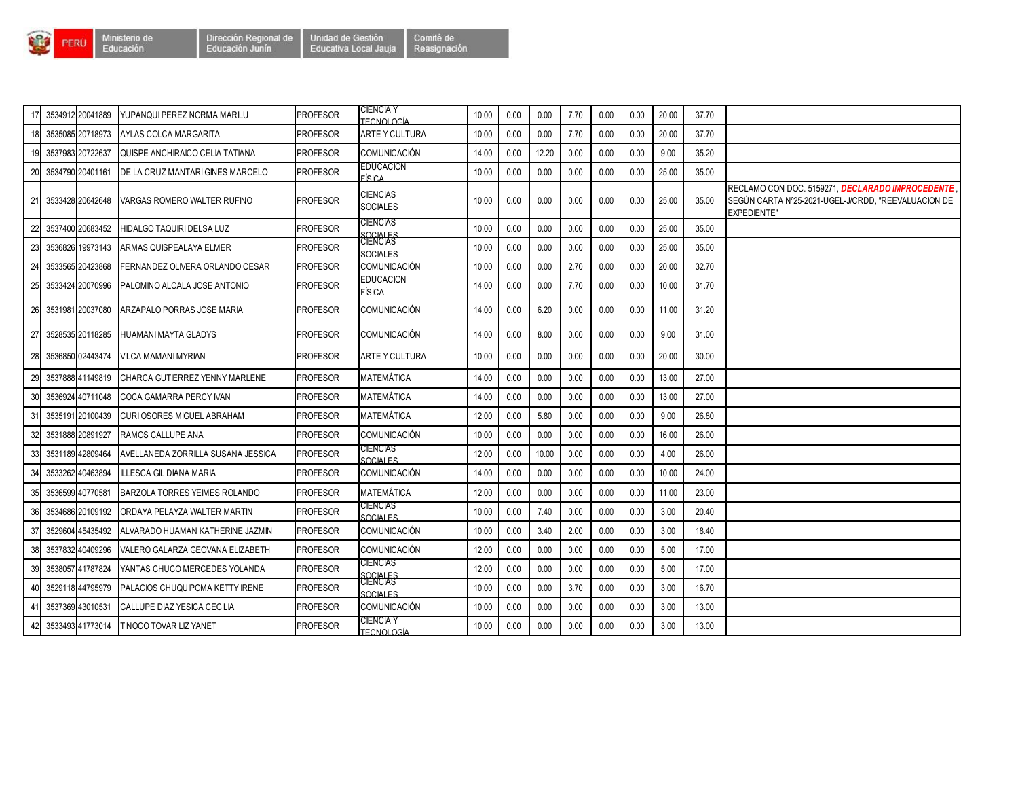

| Comité de    |
|--------------|
| Reasignación |
|              |

|    | 17 3534912 20041889 | YUPANQUI PEREZ NORMA MARILU          | <b>PROFESOR</b> | <b>UIEINUIA Y</b><br>`FCNOLOGÍA    | 10.00 | 0.00 | 0.00  | 7.70 | 0.00 | 0.00 | 20.00 | 37.70 |                                                                                                                               |
|----|---------------------|--------------------------------------|-----------------|------------------------------------|-------|------|-------|------|------|------|-------|-------|-------------------------------------------------------------------------------------------------------------------------------|
|    | 3535085 20718973    | AYLAS COLCA MARGARITA                | <b>PROFESOR</b> | <b>ARTE Y CULTURA</b>              | 10.00 | 0.00 | 0.00  | 7.70 | 0.00 | 0.00 | 20.00 | 37.70 |                                                                                                                               |
|    | 3537983 20722637    | QUISPE ANCHIRAICO CELIA TATIANA      | <b>PROFESOR</b> | <b>COMUNICACIÓN</b>                | 14.00 | 0.00 | 12.20 | 0.00 | 0.00 | 0.00 | 9.00  | 35.20 |                                                                                                                               |
| 20 | 3534790 20401161    | DE LA CRUZ MANTARI GINES MARCELO     | <b>PROFESOR</b> | <b>EDUCACION</b><br>FÍSICA         | 10.00 | 0.00 | 0.00  | 0.00 | 0.00 | 0.00 | 25.00 | 35.00 |                                                                                                                               |
| 21 | 3533428 20642648    | VARGAS ROMERO WALTER RUFINO          | <b>PROFESOR</b> | <b>CIENCIAS</b><br><b>SOCIALES</b> | 10.00 | 0.00 | 0.00  | 0.00 | 0.00 | 0.00 | 25.00 | 35.00 | RECLAMO CON DOC. 5159271, DECLARADO IMPROCEDENTE<br>SEGÚN CARTA Nº25-2021-UGEL-J/CRDD, "REEVALUACION DE<br><b>EXPEDIENTE"</b> |
| 22 | 3537400 20683452    | HIDALGO TAQUIRI DELSA LUZ            | <b>PROFESOR</b> | CIENCIAS<br>SOCIALES               | 10.00 | 0.00 | 0.00  | 0.00 | 0.00 | 0.00 | 25.00 | 35.00 |                                                                                                                               |
| 23 | 3536826 19973143    | ARMAS QUISPEALAYA ELMER              | <b>PROFESOR</b> | CIENCIAS<br>SOCIALES               | 10.00 | 0.00 | 0.00  | 0.00 | 0.00 | 0.00 | 25.00 | 35.00 |                                                                                                                               |
| 24 | 3533565 20423868    | FERNANDEZ OLIVERA ORLANDO CESAR      | <b>PROFESOR</b> | <b>COMUNICACIÓN</b>                | 10.00 | 0.00 | 0.00  | 2.70 | 0.00 | 0.00 | 20.00 | 32.70 |                                                                                                                               |
| 25 | 3533424 20070996    | PALOMINO ALCALA JOSE ANTONIO         | <b>PROFESOR</b> | EDUCACION<br>FÍSICA                | 14.00 | 0.00 | 0.00  | 7.70 | 0.00 | 0.00 | 10.00 | 31.70 |                                                                                                                               |
| 26 | 3531981 20037080    | ARZAPALO PORRAS JOSE MARIA           | <b>PROFESOR</b> | <b>COMUNICACIÓN</b>                | 14.00 | 0.00 | 6.20  | 0.00 | 0.00 | 0.00 | 11.00 | 31.20 |                                                                                                                               |
| 27 | 3528535 20118285    | HUAMANI MAYTA GLADYS                 | PROFESOR        | <b>COMUNICACIÓN</b>                | 14.00 | 0.00 | 8.00  | 0.00 | 0.00 | 0.00 | 9.00  | 31.00 |                                                                                                                               |
| 28 | 3536850 02443474    | <b>VILCA MAMANI MYRIAN</b>           | <b>PROFESOR</b> | <b>ARTE Y CULTURA</b>              | 10.00 | 0.00 | 0.00  | 0.00 | 0.00 | 0.00 | 20.00 | 30.00 |                                                                                                                               |
| 29 | 3537888 41149819    | CHARCA GUTIERREZ YENNY MARLENE       | <b>PROFESOR</b> | <b>MATEMÁTICA</b>                  | 14.00 | 0.00 | 0.00  | 0.00 | 0.00 | 0.00 | 13.00 | 27.00 |                                                                                                                               |
| 30 | 3536924 40711048    | COCA GAMARRA PERCY IVAN              | <b>PROFESOR</b> | <b>MATEMÁTICA</b>                  | 14.00 | 0.00 | 0.00  | 0.00 | 0.00 | 0.00 | 13.00 | 27.00 |                                                                                                                               |
| 31 | 3535191 20100439    | <b>CURI OSORES MIGUEL ABRAHAM</b>    | <b>PROFESOR</b> | <b>MATEMÁTICA</b>                  | 12.00 | 0.00 | 5.80  | 0.00 | 0.00 | 0.00 | 9.00  | 26.80 |                                                                                                                               |
| 32 | 3531888 20891927    | RAMOS CALLUPE ANA                    | <b>PROFESOR</b> | <b>COMUNICACIÓN</b>                | 10.00 | 0.00 | 0.00  | 0.00 | 0.00 | 0.00 | 16.00 | 26.00 |                                                                                                                               |
| 33 | 3531189 42809464    | AVELLANEDA ZORRILLA SUSANA JESSICA   | <b>PROFESOR</b> | CIENCIAS<br>SOCIALES               | 12.00 | 0.00 | 10.00 | 0.00 | 0.00 | 0.00 | 4.00  | 26.00 |                                                                                                                               |
| 34 | 3533262 40463894    | <b>ILLESCA GIL DIANA MARIA</b>       | <b>PROFESOR</b> | <b>COMUNICACIÓN</b>                | 14.00 | 0.00 | 0.00  | 0.00 | 0.00 | 0.00 | 10.00 | 24.00 |                                                                                                                               |
| 35 | 3536599 40770581    | <b>BARZOLA TORRES YEIMES ROLANDO</b> | <b>PROFESOR</b> | <b>MATEMÁTICA</b>                  | 12.00 | 0.00 | 0.00  | 0.00 | 0.00 | 0.00 | 11.00 | 23.00 |                                                                                                                               |
| 36 | 3534686 20109192    | ORDAYA PELAYZA WALTER MARTIN         | <b>PROFESOR</b> | <b>CIENCIAS</b><br>SOCIALES        | 10.00 | 0.00 | 7.40  | 0.00 | 0.00 | 0.00 | 3.00  | 20.40 |                                                                                                                               |
| 37 | 3529604 45435492    | ALVARADO HUAMAN KATHERINE JAZMIN     | <b>PROFESOR</b> | <b>COMUNICACIÓN</b>                | 10.00 | 0.00 | 3.40  | 2.00 | 0.00 | 0.00 | 3.00  | 18.40 |                                                                                                                               |
| 38 | 3537832 40409296    | VALERO GALARZA GEOVANA ELIZABETH     | <b>PROFESOR</b> | <b>COMUNICACIÓN</b>                | 12.00 | 0.00 | 0.00  | 0.00 | 0.00 | 0.00 | 5.00  | 17.00 |                                                                                                                               |
| 39 | 3538057 41787824    | YANTAS CHUCO MERCEDES YOLANDA        | <b>PROFESOR</b> | CIENCIAS<br>SOCIALES               | 12.00 | 0.00 | 0.00  | 0.00 | 0.00 | 0.00 | 5.00  | 17.00 |                                                                                                                               |
| 40 | 3529118 44795979    | PALACIOS CHUQUIPOMA KETTY IRENE      | <b>PROFESOR</b> | CIENCIAS<br>SOCIALES.              | 10.00 | 0.00 | 0.00  | 3.70 | 0.00 | 0.00 | 3.00  | 16.70 |                                                                                                                               |
| 41 | 3537369 43010531    | CALLUPE DIAZ YESICA CECILIA          | <b>PROFESOR</b> | <b>COMUNICACIÓN</b>                | 10.00 | 0.00 | 0.00  | 0.00 | 0.00 | 0.00 | 3.00  | 13.00 |                                                                                                                               |
| 42 | 3533493 41773014    | TINOCO TOVAR LIZ YANET               | <b>PROFESOR</b> | <b>CIENCIA Y</b><br>TECNOI OGÍA    | 10.00 | 0.00 | 0.00  | 0.00 | 0.00 | 0.00 | 3.00  | 13.00 |                                                                                                                               |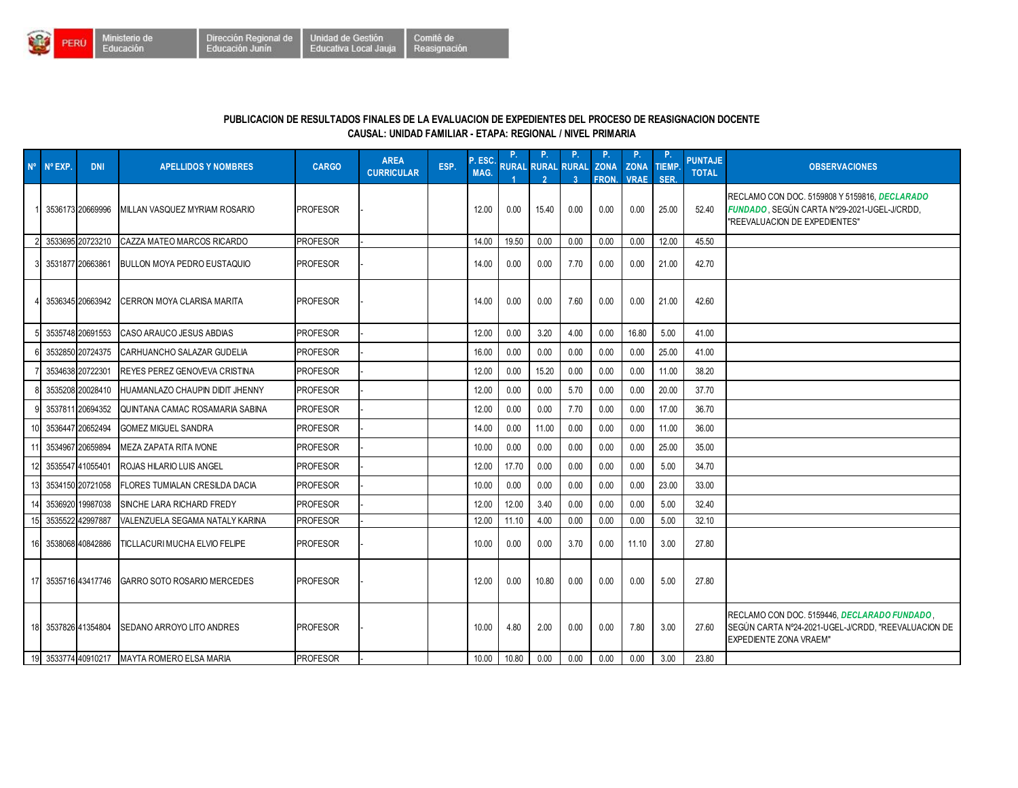

#### **PUBLICACION DE RESULTADOS FINALES DE LA EVALUACION DE EXPEDIENTES DEL PROCESO DE REASIGNACION DOCENTE CAUSAL: UNIDAD FAMILIAR - ETAPA: REGIONAL / NIVEL PRIMARIA**

Comité de<br>Reasignación

|    | N° N° EXP.          | <b>DNI</b>          | <b>APELLIDOS Y NOMBRES</b>             | <b>CARGO</b>    | <b>AREA</b><br><b>CURRICULAR</b> | ESP. | P. ESC.<br>MAG. | P.    | -P.<br>RURAL RURAL RURAL<br>$\overline{2}$ | P.<br>-3 | <b>P.</b><br><b>ZONA</b><br><b>FRON.</b> | Р.<br><b>ZONA</b><br><b>VRAE</b> | P.<br><b>TIEMP</b><br>SER. | <b>PUNTAJE</b><br><b>TOTAL</b> | <b>OBSERVACIONES</b>                                                                                                                 |
|----|---------------------|---------------------|----------------------------------------|-----------------|----------------------------------|------|-----------------|-------|--------------------------------------------|----------|------------------------------------------|----------------------------------|----------------------------|--------------------------------|--------------------------------------------------------------------------------------------------------------------------------------|
|    |                     | 3536173 20669996    | MILLAN VASQUEZ MYRIAM ROSARIO          | <b>PROFESOR</b> |                                  |      | 12.00           | 0.00  | 15.40                                      | 0.00     | 0.00                                     | 0.00                             | 25.00                      | 52.40                          | RECLAMO CON DOC. 5159808 Y 5159816, DECLARADO<br>FUNDADO, SEGÚN CARTA Nº29-2021-UGEL-J/CRDD,<br>"REEVALUACION DE EXPEDIENTES"        |
|    |                     | 3533695 20723210    | CAZZA MATEO MARCOS RICARDO             | <b>PROFESOR</b> |                                  |      | 14.00           | 19.50 | 0.00                                       | 0.00     | 0.00                                     | 0.00                             | 12.00                      | 45.50                          |                                                                                                                                      |
|    | 3531877 20663861    |                     | <b>BULLON MOYA PEDRO EUSTAQUIO</b>     | <b>PROFESOR</b> |                                  |      | 14.00           | 0.00  | 0.00                                       | 7.70     | 0.00                                     | 0.00                             | 21.00                      | 42.70                          |                                                                                                                                      |
|    |                     | 3536345 20663942    | CERRON MOYA CLARISA MARITA             | <b>PROFESOR</b> |                                  |      | 14.00           | 0.00  | 0.00                                       | 7.60     | 0.00                                     | 0.00                             | 21.00                      | 42.60                          |                                                                                                                                      |
|    |                     | 3535748 20691553    | CASO ARAUCO JESUS ABDIAS               | <b>PROFESOR</b> |                                  |      | 12.00           | 0.00  | 3.20                                       | 4.00     | 0.00                                     | 16.80                            | 5.00                       | 41.00                          |                                                                                                                                      |
|    |                     | 3532850 20724375    | CARHUANCHO SALAZAR GUDELIA             | <b>PROFESOR</b> |                                  |      | 16.00           | 0.00  | 0.00                                       | 0.00     | 0.00                                     | 0.00                             | 25.00                      | 41.00                          |                                                                                                                                      |
|    |                     | 3534638 20722301    | REYES PEREZ GENOVEVA CRISTINA          | <b>PROFESOR</b> |                                  |      | 12.00           | 0.00  | 15.20                                      | 0.00     | 0.00                                     | 0.00                             | 11.00                      | 38.20                          |                                                                                                                                      |
|    |                     | 3535208 20028410    | <b>HUAMANLAZO CHAUPIN DIDIT JHENNY</b> | <b>PROFESOR</b> |                                  |      | 12.00           | 0.00  | 0.00                                       | 5.70     | 0.00                                     | 0.00                             | 20.00                      | 37.70                          |                                                                                                                                      |
|    |                     | 3537811 20694352    | QUINTANA CAMAC ROSAMARIA SABINA        | <b>PROFESOR</b> |                                  |      | 12.00           | 0.00  | 0.00                                       | 7.70     | 0.00                                     | 0.00                             | 17.00                      | 36.70                          |                                                                                                                                      |
|    |                     | 3536447 20652494    | <b>GOMEZ MIGUEL SANDRA</b>             | <b>PROFESOR</b> |                                  |      | 14.00           | 0.00  | 11.00                                      | 0.00     | 0.00                                     | 0.00                             | 11.00                      | 36.00                          |                                                                                                                                      |
|    |                     | 3534967 20659894    | <b>MEZA ZAPATA RITA IVONE</b>          | <b>PROFESOR</b> |                                  |      | 10.00           | 0.00  | 0.00                                       | 0.00     | 0.00                                     | 0.00                             | 25.00                      | 35.00                          |                                                                                                                                      |
| 12 | 3535547 41055401    |                     | ROJAS HILARIO LUIS ANGEL               | <b>PROFESOR</b> |                                  |      | 12.00           | 17.70 | 0.00                                       | 0.00     | 0.00                                     | 0.00                             | 5.00                       | 34.70                          |                                                                                                                                      |
| 13 |                     | 3534150 20721058    | FLORES TUMIALAN CRESILDA DACIA         | <b>PROFESOR</b> |                                  |      | 10.00           | 0.00  | 0.00                                       | 0.00     | 0.00                                     | 0.00                             | 23.00                      | 33.00                          |                                                                                                                                      |
| 14 |                     | 3536920 19987038    | SINCHE LARA RICHARD FREDY              | PROFESOR        |                                  |      | 12.00           | 12.00 | 3.40                                       | 0.00     | 0.00                                     | 0.00                             | 5.00                       | 32.40                          |                                                                                                                                      |
| 15 | 3535522 42997887    |                     | VALENZUELA SEGAMA NATALY KARINA        | <b>PROFESOR</b> |                                  |      | 12.00           | 11.10 | 4.00                                       | 0.00     | 0.00                                     | 0.00                             | 5.00                       | 32.10                          |                                                                                                                                      |
|    | 16 3538068 40842886 |                     | TICLLACURI MUCHA ELVIO FELIPE          | <b>PROFESOR</b> |                                  |      | 10.00           | 0.00  | 0.00                                       | 3.70     | 0.00                                     | 11.10                            | 3.00                       | 27.80                          |                                                                                                                                      |
|    | 17 3535716 43417746 |                     | GARRO SOTO ROSARIO MERCEDES            | PROFESOR        |                                  |      | 12.00           | 0.00  | 10.80                                      | 0.00     | 0.00                                     | 0.00                             | 5.00                       | 27.80                          |                                                                                                                                      |
|    | 18 3537826 41354804 |                     | SEDANO ARROYO LITO ANDRES              | <b>PROFESOR</b> |                                  |      | 10.00           | 4.80  | 2.00                                       | 0.00     | 0.00                                     | 7.80                             | 3.00                       | 27.60                          | RECLAMO CON DOC. 5159446, DECLARADO FUNDADO,<br>SEGÚN CARTA Nº24-2021-UGEL-J/CRDD, "REEVALUACION DE<br><b>EXPEDIENTE ZONA VRAEM"</b> |
|    |                     | 19 3533774 40910217 | <b>MAYTA ROMERO ELSA MARIA</b>         | <b>PROFESOR</b> |                                  |      | 10.00           | 10.80 | 0.00                                       | 0.00     | 0.00                                     | 0.00                             | 3.00                       | 23.80                          |                                                                                                                                      |